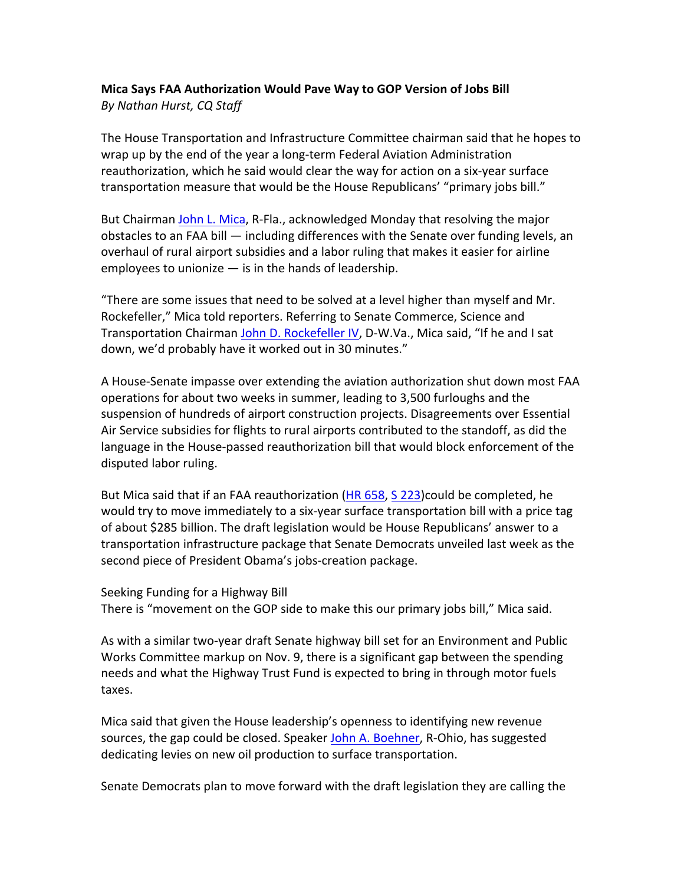## **Mica Says FAA Authorization Would Pave Way to GOP Version of Jobs Bill By Nathan Hurst, CQ Staff**

The House Transportation and Infrastructure Committee chairman said that he hopes to wrap up by the end of the year a long-term Federal Aviation Administration reauthorization, which he said would clear the way for action on a six-year surface transportation measure that would be the House Republicans' "primary jobs bill."

But Chairman John L. Mica, R-Fla., acknowledged Monday that resolving the major obstacles to an FAA bill  $-$  including differences with the Senate over funding levels, an overhaul of rural airport subsidies and a labor ruling that makes it easier for airline employees to unionize  $-$  is in the hands of leadership.

"There are some issues that need to be solved at a level higher than myself and Mr. Rockefeller," Mica told reporters. Referring to Senate Commerce, Science and Transportation Chairman John D. Rockefeller IV, D-W.Va., Mica said, "If he and I sat down, we'd probably have it worked out in 30 minutes."

A House-Senate impasse over extending the aviation authorization shut down most FAA operations for about two weeks in summer, leading to 3,500 furloughs and the suspension of hundreds of airport construction projects. Disagreements over Essential Air Service subsidies for flights to rural airports contributed to the standoff, as did the language in the House-passed reauthorization bill that would block enforcement of the disputed labor ruling.

But Mica said that if an FAA reauthorization (HR 658, S 223)could be completed, he would try to move immediately to a six-year surface transportation bill with a price tag of about \$285 billion. The draft legislation would be House Republicans' answer to a transportation infrastructure package that Senate Democrats unveiled last week as the second piece of President Obama's jobs-creation package.

## Seeking Funding for a Highway Bill

There is "movement on the GOP side to make this our primary jobs bill," Mica said.

As with a similar two-year draft Senate highway bill set for an Environment and Public Works Committee markup on Nov. 9, there is a significant gap between the spending needs and what the Highway Trust Fund is expected to bring in through motor fuels taxes.

Mica said that given the House leadership's openness to identifying new revenue sources, the gap could be closed. Speaker John A. Boehner, R-Ohio, has suggested dedicating levies on new oil production to surface transportation.

Senate Democrats plan to move forward with the draft legislation they are calling the